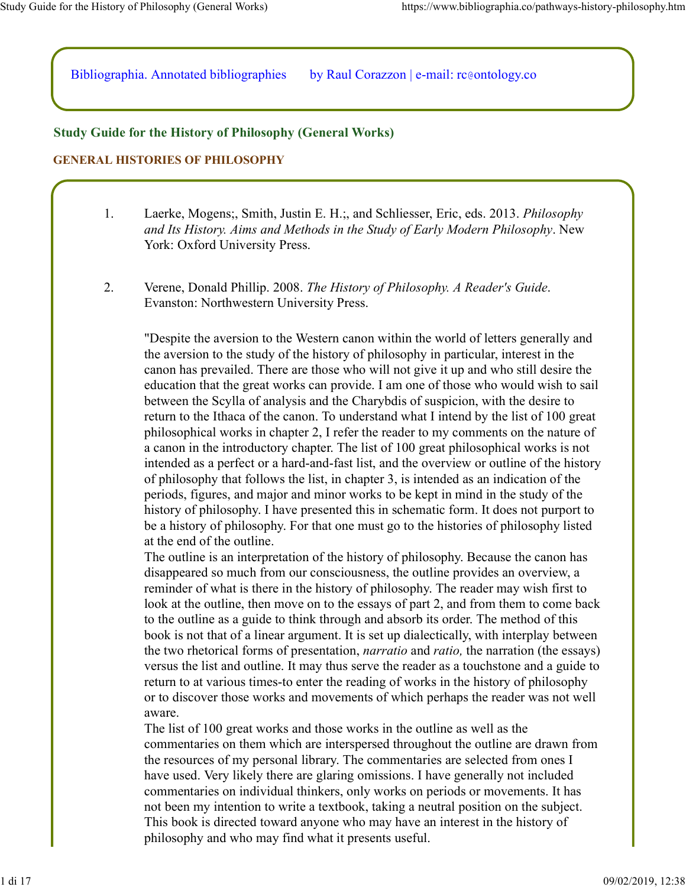Bibliographia. Annotated bibliographies by Raul Corazzon | e-mail: rc@ontology.co Study Guide for the History of Philosophy (General Works) https://www.bibliographia.co/pathways-history-philosophy.htm<br>
Bibliographia. Annotated bibliographies by Raul Corazzon | e-mail: rc@ontology.co

## Study Guide for the History of Philosophy (General Works)

## GENERAL HISTORIES OF PHILOSOPHY

- 1. Laerke, Mogens;, Smith, Justin E. H.;, and Schliesser, Eric, eds. 2013. *Philosophy* and Its History. Aims and Methods in the Study of Early Modern Philosophy. New York: Oxford University Press.
- 2. Verene, Donald Phillip. 2008. The History of Philosophy. A Reader's Guide. Evanston: Northwestern University Press.

"Despite the aversion to the Western canon within the world of letters generally and the aversion to the study of the history of philosophy in particular, interest in the canon has prevailed. There are those who will not give it up and who still desire the education that the great works can provide. I am one of those who would wish to sail between the Scylla of analysis and the Charybdis of suspicion, with the desire to return to the Ithaca of the canon. To understand what I intend by the list of 100 great philosophical works in chapter 2, I refer the reader to my comments on the nature of a canon in the introductory chapter. The list of 100 great philosophical works is not intended as a perfect or a hard-and-fast list, and the overview or outline of the history of philosophy that follows the list, in chapter 3, is intended as an indication of the periods, figures, and major and minor works to be kept in mind in the study of the history of philosophy. I have presented this in schematic form. It does not purport to be a history of philosophy. For that one must go to the histories of philosophy listed at the end of the outline.

The outline is an interpretation of the history of philosophy. Because the canon has disappeared so much from our consciousness, the outline provides an overview, a reminder of what is there in the history of philosophy. The reader may wish first to look at the outline, then move on to the essays of part 2, and from them to come back to the outline as a guide to think through and absorb its order. The method of this book is not that of a linear argument. It is set up dialectically, with interplay between the two rhetorical forms of presentation, *narratio* and *ratio*, the narration (the essays) versus the list and outline. It may thus serve the reader as a touchstone and a guide to return to at various times-to enter the reading of works in the history of philosophy or to discover those works and movements of which perhaps the reader was not well aware.

The list of 100 great works and those works in the outline as well as the commentaries on them which are interspersed throughout the outline are drawn from the resources of my personal library. The commentaries are selected from ones I have used. Very likely there are glaring omissions. I have generally not included commentaries on individual thinkers, only works on periods or movements. It has not been my intention to write a textbook, taking a neutral position on the subject. This book is directed toward anyone who may have an interest in the history of philosophy and who may find what it presents useful.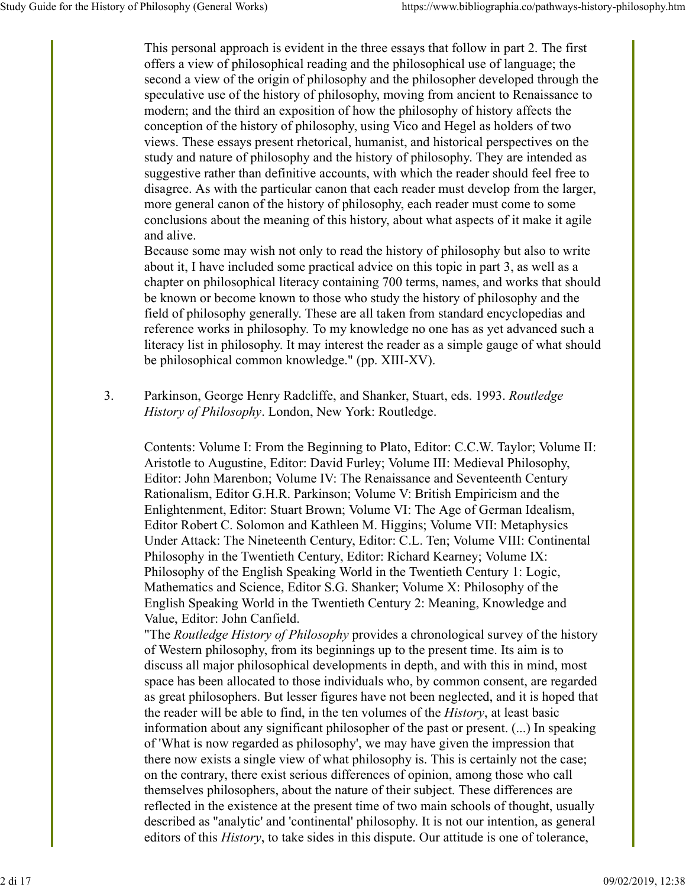This personal approach is evident in the three essays that follow in part 2. The first offers a view of philosophical reading and the philosophical use of language; the second a view of the origin of philosophy and the philosopher developed through the speculative use of the history of philosophy, moving from ancient to Renaissance to modern; and the third an exposition of how the philosophy of history affects the conception of the history of philosophy, using Vico and Hegel as holders of two views. These essays present rhetorical, humanist, and historical perspectives on the study and nature of philosophy and the history of philosophy. They are intended as suggestive rather than definitive accounts, with which the reader should feel free to disagree. As with the particular canon that each reader must develop from the larger, more general canon of the history of philosophy, each reader must come to some conclusions about the meaning of this history, about what aspects of it make it agile and alive. Study Guide for the History of Philosophy (General Works) https://www.bibliographia.co/pathways-history-philosophy.htm<br>
This personal approach is evident in the three essays that follow in part 2. The first<br>
offers a view

Because some may wish not only to read the history of philosophy but also to write about it, I have included some practical advice on this topic in part 3, as well as a chapter on philosophical literacy containing 700 terms, names, and works that should be known or become known to those who study the history of philosophy and the field of philosophy generally. These are all taken from standard encyclopedias and reference works in philosophy. To my knowledge no one has as yet advanced such a literacy list in philosophy. It may interest the reader as a simple gauge of what should be philosophical common knowledge." (pp. XIII-XV).

3. Parkinson, George Henry Radcliffe, and Shanker, Stuart, eds. 1993. Routledge History of Philosophy. London, New York: Routledge.

Contents: Volume I: From the Beginning to Plato, Editor: C.C.W. Taylor; Volume II: Aristotle to Augustine, Editor: David Furley; Volume III: Medieval Philosophy, Editor: John Marenbon; Volume IV: The Renaissance and Seventeenth Century Rationalism, Editor G.H.R. Parkinson; Volume V: British Empiricism and the Enlightenment, Editor: Stuart Brown; Volume VI: The Age of German Idealism, Editor Robert C. Solomon and Kathleen M. Higgins; Volume VII: Metaphysics Under Attack: The Nineteenth Century, Editor: C.L. Ten; Volume VIII: Continental Philosophy in the Twentieth Century, Editor: Richard Kearney; Volume IX: Philosophy of the English Speaking World in the Twentieth Century 1: Logic, Mathematics and Science, Editor S.G. Shanker; Volume X: Philosophy of the English Speaking World in the Twentieth Century 2: Meaning, Knowledge and Value, Editor: John Canfield.

"The Routledge History of Philosophy provides a chronological survey of the history of Western philosophy, from its beginnings up to the present time. Its aim is to discuss all major philosophical developments in depth, and with this in mind, most space has been allocated to those individuals who, by common consent, are regarded as great philosophers. But lesser figures have not been neglected, and it is hoped that the reader will be able to find, in the ten volumes of the History, at least basic information about any significant philosopher of the past or present. (...) In speaking of 'What is now regarded as philosophy', we may have given the impression that there now exists a single view of what philosophy is. This is certainly not the case; on the contrary, there exist serious differences of opinion, among those who call themselves philosophers, about the nature of their subject. These differences are reflected in the existence at the present time of two main schools of thought, usually described as ''analytic' and 'continental' philosophy. It is not our intention, as general editors of this *History*, to take sides in this dispute. Our attitude is one of tolerance,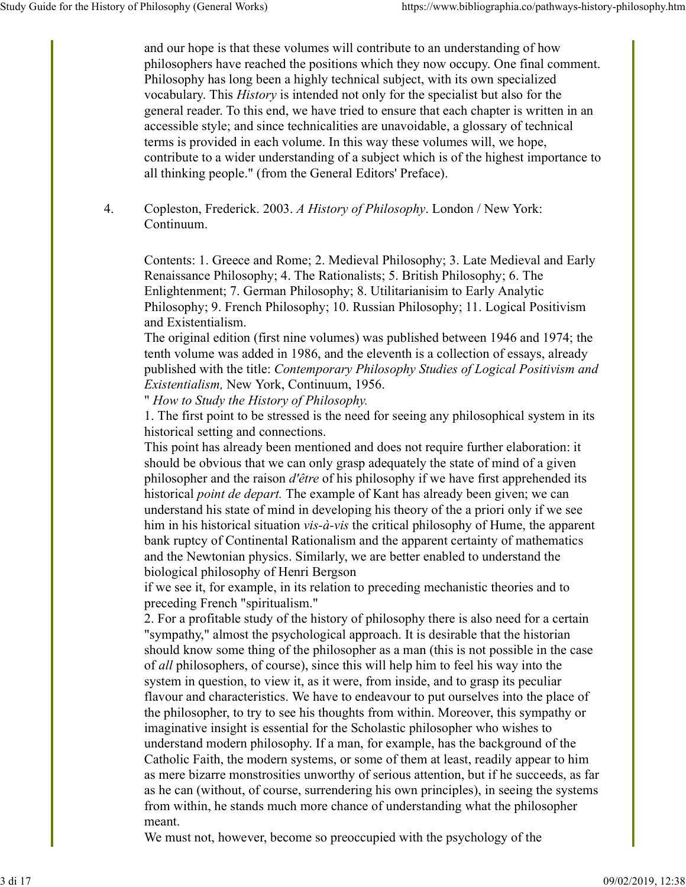and our hope is that these volumes will contribute to an understanding of how philosophers have reached the positions which they now occupy. One final comment. Philosophy has long been a highly technical subject, with its own specialized vocabulary. This History is intended not only for the specialist but also for the general reader. To this end, we have tried to ensure that each chapter is written in an accessible style; and since technicalities are unavoidable, a glossary of technical terms is provided in each volume. In this way these volumes will, we hope, contribute to a wider understanding of a subject which is of the highest importance to all thinking people." (from the General Editors' Preface). Study Guide for the History of Philosophy (General Works) https://www.bibliographia.co/pathways-history-philosophy.htm<br>and our hope is that these volumes will contribute to an understanding of how<br>philosophers have reached

## 4. Copleston, Frederick. 2003. A History of Philosophy. London / New York: Continuum.

Contents: 1. Greece and Rome; 2. Medieval Philosophy; 3. Late Medieval and Early Renaissance Philosophy; 4. The Rationalists; 5. British Philosophy; 6. The Enlightenment; 7. German Philosophy; 8. Utilitarianisim to Early Analytic Philosophy; 9. French Philosophy; 10. Russian Philosophy; 11. Logical Positivism and Existentialism.

The original edition (first nine volumes) was published between 1946 and 1974; the tenth volume was added in 1986, and the eleventh is a collection of essays, already published with the title: Contemporary Philosophy Studies of Logical Positivism and Existentialism, New York, Continuum, 1956.

" How to Study the History of Philosophy.

1. The first point to be stressed is the need for seeing any philosophical system in its historical setting and connections.

This point has already been mentioned and does not require further elaboration: it should be obvious that we can only grasp adequately the state of mind of a given philosopher and the raison *d'être* of his philosophy if we have first apprehended its historical point de depart. The example of Kant has already been given; we can understand his state of mind in developing his theory of the a priori only if we see him in his historical situation *vis-à-vis* the critical philosophy of Hume, the apparent bank ruptcy of Continental Rationalism and the apparent certainty of mathematics and the Newtonian physics. Similarly, we are better enabled to understand the biological philosophy of Henri Bergson

if we see it, for example, in its relation to preceding mechanistic theories and to preceding French "spiritualism."

2. For a profitable study of the history of philosophy there is also need for a certain "sympathy," almost the psychological approach. It is desirable that the historian should know some thing of the philosopher as a man (this is not possible in the case of all philosophers, of course), since this will help him to feel his way into the system in question, to view it, as it were, from inside, and to grasp its peculiar flavour and characteristics. We have to endeavour to put ourselves into the place of the philosopher, to try to see his thoughts from within. Moreover, this sympathy or imaginative insight is essential for the Scholastic philosopher who wishes to understand modern philosophy. If a man, for example, has the background of the Catholic Faith, the modern systems, or some of them at least, readily appear to him as mere bizarre monstrosities unworthy of serious attention, but if he succeeds, as far as he can (without, of course, surrendering his own principles), in seeing the systems from within, he stands much more chance of understanding what the philosopher meant.

We must not, however, become so preoccupied with the psychology of the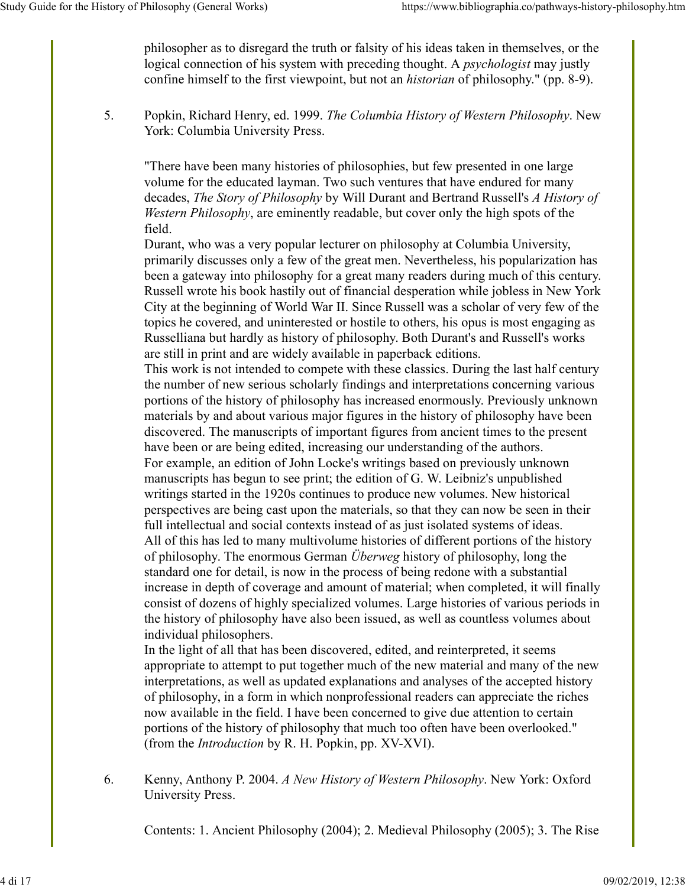philosopher as to disregard the truth or falsity of his ideas taken in themselves, or the logical connection of his system with preceding thought. A *psychologist* may justly confine himself to the first viewpoint, but not an historian of philosophy." (pp. 8-9). Study Guide for the History of Philosophy (General Works) https://www.bibliographia.co/pathways-history-philosophy.htm<br>
philosopher as to disregard the truth or falsity of his ideas taken in themselves, or the<br>
logical con

> 5. Popkin, Richard Henry, ed. 1999. The Columbia History of Western Philosophy. New York: Columbia University Press.

"There have been many histories of philosophies, but few presented in one large volume for the educated layman. Two such ventures that have endured for many decades, The Story of Philosophy by Will Durant and Bertrand Russell's A History of Western Philosophy, are eminently readable, but cover only the high spots of the field.

Durant, who was a very popular lecturer on philosophy at Columbia University, primarily discusses only a few of the great men. Nevertheless, his popularization has been a gateway into philosophy for a great many readers during much of this century. Russell wrote his book hastily out of financial desperation while jobless in New York City at the beginning of World War II. Since Russell was a scholar of very few of the topics he covered, and uninterested or hostile to others, his opus is most engaging as Russelliana but hardly as history of philosophy. Both Durant's and Russell's works are still in print and are widely available in paperback editions.

This work is not intended to compete with these classics. During the last half century the number of new serious scholarly findings and interpretations concerning various portions of the history of philosophy has increased enormously. Previously unknown materials by and about various major figures in the history of philosophy have been discovered. The manuscripts of important figures from ancient times to the present have been or are being edited, increasing our understanding of the authors. For example, an edition of John Locke's writings based on previously unknown manuscripts has begun to see print; the edition of G. W. Leibniz's unpublished writings started in the 1920s continues to produce new volumes. New historical perspectives are being cast upon the materials, so that they can now be seen in their full intellectual and social contexts instead of as just isolated systems of ideas. All of this has led to many multivolume histories of different portions of the history of philosophy. The enormous German *Überweg* history of philosophy, long the standard one for detail, is now in the process of being redone with a substantial increase in depth of coverage and amount of material; when completed, it will finally consist of dozens of highly specialized volumes. Large histories of various periods in the history of philosophy have also been issued, as well as countless volumes about individual philosophers.

In the light of all that has been discovered, edited, and reinterpreted, it seems appropriate to attempt to put together much of the new material and many of the new interpretations, as well as updated explanations and analyses of the accepted history of philosophy, in a form in which nonprofessional readers can appreciate the riches now available in the field. I have been concerned to give due attention to certain portions of the history of philosophy that much too often have been overlooked." (from the Introduction by R. H. Popkin, pp. XV-XVI).

6. Kenny, Anthony P. 2004. A New History of Western Philosophy. New York: Oxford University Press.

Contents: 1. Ancient Philosophy (2004); 2. Medieval Philosophy (2005); 3. The Rise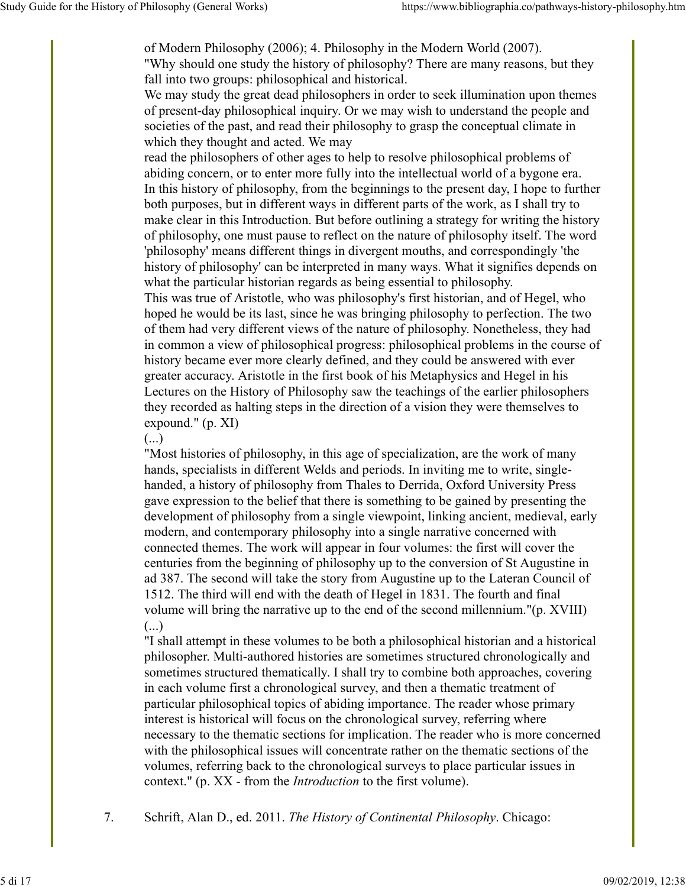of Modern Philosophy (2006); 4. Philosophy in the Modern World (2007). "Why should one study the history of philosophy? There are many reasons, but they fall into two groups: philosophical and historical. Study Guide for the History of Philosophy (General Works) https://www.bibliographia.co/pathways-history-philosophy.htm<br>
of Modern Philosophy (2006); 4. Philosophy in the Modern World (2007).<br>
"Why should one study the hist

We may study the great dead philosophers in order to seek illumination upon themes of present-day philosophical inquiry. Or we may wish to understand the people and societies of the past, and read their philosophy to grasp the conceptual climate in which they thought and acted. We may

read the philosophers of other ages to help to resolve philosophical problems of abiding concern, or to enter more fully into the intellectual world of a bygone era. In this history of philosophy, from the beginnings to the present day, I hope to further both purposes, but in different ways in different parts of the work, as I shall try to make clear in this Introduction. But before outlining a strategy for writing the history of philosophy, one must pause to reflect on the nature of philosophy itself. The word 'philosophy' means different things in divergent mouths, and correspondingly 'the history of philosophy' can be interpreted in many ways. What it signifies depends on what the particular historian regards as being essential to philosophy.

This was true of Aristotle, who was philosophy's first historian, and of Hegel, who hoped he would be its last, since he was bringing philosophy to perfection. The two of them had very different views of the nature of philosophy. Nonetheless, they had in common a view of philosophical progress: philosophical problems in the course of history became ever more clearly defined, and they could be answered with ever greater accuracy. Aristotle in the first book of his Metaphysics and Hegel in his Lectures on the History of Philosophy saw the teachings of the earlier philosophers they recorded as halting steps in the direction of a vision they were themselves to expound." (p. XI)

(...)

"Most histories of philosophy, in this age of specialization, are the work of many hands, specialists in different Welds and periods. In inviting me to write, singlehanded, a history of philosophy from Thales to Derrida, Oxford University Press gave expression to the belief that there is something to be gained by presenting the development of philosophy from a single viewpoint, linking ancient, medieval, early modern, and contemporary philosophy into a single narrative concerned with connected themes. The work will appear in four volumes: the first will cover the centuries from the beginning of philosophy up to the conversion of St Augustine in ad 387. The second will take the story from Augustine up to the Lateran Council of 1512. The third will end with the death of Hegel in 1831. The fourth and final volume will bring the narrative up to the end of the second millennium."(p. XVIII) (...)

"I shall attempt in these volumes to be both a philosophical historian and a historical philosopher. Multi-authored histories are sometimes structured chronologically and sometimes structured thematically. I shall try to combine both approaches, covering in each volume first a chronological survey, and then a thematic treatment of particular philosophical topics of abiding importance. The reader whose primary interest is historical will focus on the chronological survey, referring where necessary to the thematic sections for implication. The reader who is more concerned with the philosophical issues will concentrate rather on the thematic sections of the volumes, referring back to the chronological surveys to place particular issues in context." (p. XX - from the Introduction to the first volume).

7. Schrift, Alan D., ed. 2011. The History of Continental Philosophy. Chicago: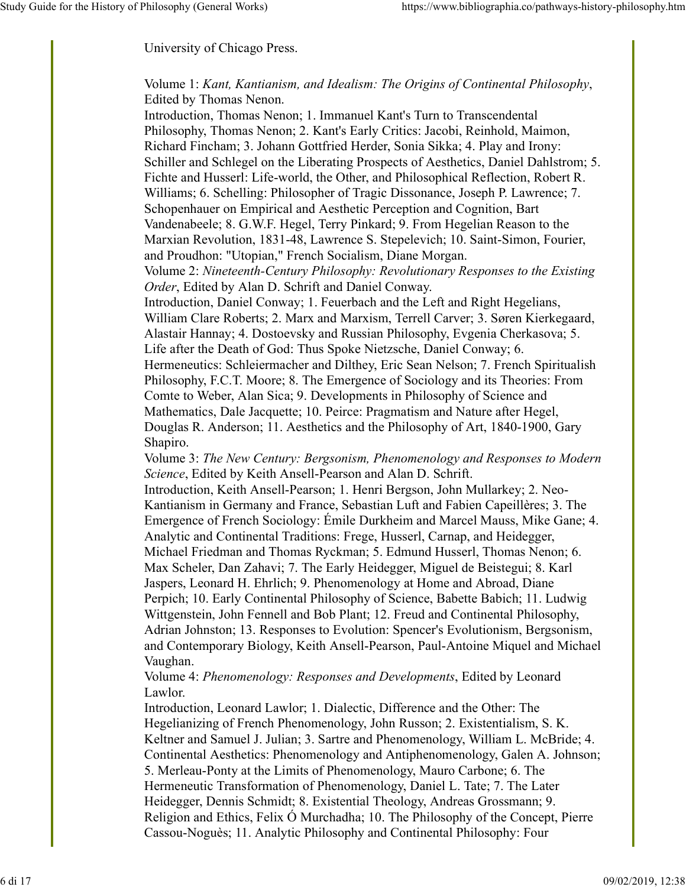University of Chicago Press.

Volume 1: Kant, Kantianism, and Idealism: The Origins of Continental Philosophy, Edited by Thomas Nenon.

Introduction, Thomas Nenon; 1. Immanuel Kant's Turn to Transcendental Philosophy, Thomas Nenon; 2. Kant's Early Critics: Jacobi, Reinhold, Maimon, Richard Fincham; 3. Johann Gottfried Herder, Sonia Sikka; 4. Play and Irony: Schiller and Schlegel on the Liberating Prospects of Aesthetics, Daniel Dahlstrom; 5. Fichte and Husserl: Life-world, the Other, and Philosophical Reflection, Robert R. Williams; 6. Schelling: Philosopher of Tragic Dissonance, Joseph P. Lawrence; 7. Schopenhauer on Empirical and Aesthetic Perception and Cognition, Bart Vandenabeele; 8. G.W.F. Hegel, Terry Pinkard; 9. From Hegelian Reason to the Marxian Revolution, 1831-48, Lawrence S. Stepelevich; 10. Saint-Simon, Fourier, and Proudhon: "Utopian," French Socialism, Diane Morgan.

Volume 2: Nineteenth-Century Philosophy: Revolutionary Responses to the Existing Order, Edited by Alan D. Schrift and Daniel Conway.

Introduction, Daniel Conway; 1. Feuerbach and the Left and Right Hegelians, William Clare Roberts; 2. Marx and Marxism, Terrell Carver; 3. Søren Kierkegaard, Alastair Hannay; 4. Dostoevsky and Russian Philosophy, Evgenia Cherkasova; 5. Life after the Death of God: Thus Spoke Nietzsche, Daniel Conway; 6. Hermeneutics: Schleiermacher and Dilthey, Eric Sean Nelson; 7. French Spiritualish Philosophy, F.C.T. Moore; 8. The Emergence of Sociology and its Theories: From Comte to Weber, Alan Sica; 9. Developments in Philosophy of Science and Mathematics, Dale Jacquette; 10. Peirce: Pragmatism and Nature after Hegel, Douglas R. Anderson; 11. Aesthetics and the Philosophy of Art, 1840-1900, Gary Shapiro.

Volume 3: The New Century: Bergsonism, Phenomenology and Responses to Modern Science, Edited by Keith Ansell-Pearson and Alan D. Schrift.

Introduction, Keith Ansell-Pearson; 1. Henri Bergson, John Mullarkey; 2. Neo-Kantianism in Germany and France, Sebastian Luft and Fabien Capeillères; 3. The Emergence of French Sociology: Émile Durkheim and Marcel Mauss, Mike Gane; 4. Analytic and Continental Traditions: Frege, Husserl, Carnap, and Heidegger, Michael Friedman and Thomas Ryckman; 5. Edmund Husserl, Thomas Nenon; 6. Max Scheler, Dan Zahavi; 7. The Early Heidegger, Miguel de Beistegui; 8. Karl Jaspers, Leonard H. Ehrlich; 9. Phenomenology at Home and Abroad, Diane Perpich; 10. Early Continental Philosophy of Science, Babette Babich; 11. Ludwig Wittgenstein, John Fennell and Bob Plant; 12. Freud and Continental Philosophy, Adrian Johnston; 13. Responses to Evolution: Spencer's Evolutionism, Bergsonism, and Contemporary Biology, Keith Ansell-Pearson, Paul-Antoine Miquel and Michael Vaughan.

Volume 4: Phenomenology: Responses and Developments, Edited by Leonard Lawlor.

Introduction, Leonard Lawlor; 1. Dialectic, Difference and the Other: The Hegelianizing of French Phenomenology, John Russon; 2. Existentialism, S. K. Keltner and Samuel J. Julian; 3. Sartre and Phenomenology, William L. McBride; 4. Continental Aesthetics: Phenomenology and Antiphenomenology, Galen A. Johnson; 5. Merleau-Ponty at the Limits of Phenomenology, Mauro Carbone; 6. The Hermeneutic Transformation of Phenomenology, Daniel L. Tate; 7. The Later Heidegger, Dennis Schmidt; 8. Existential Theology, Andreas Grossmann; 9. Religion and Ethics, Felix Ó Murchadha; 10. The Philosophy of the Concept, Pierre Cassou-Noguès; 11. Analytic Philosophy and Continental Philosophy: Four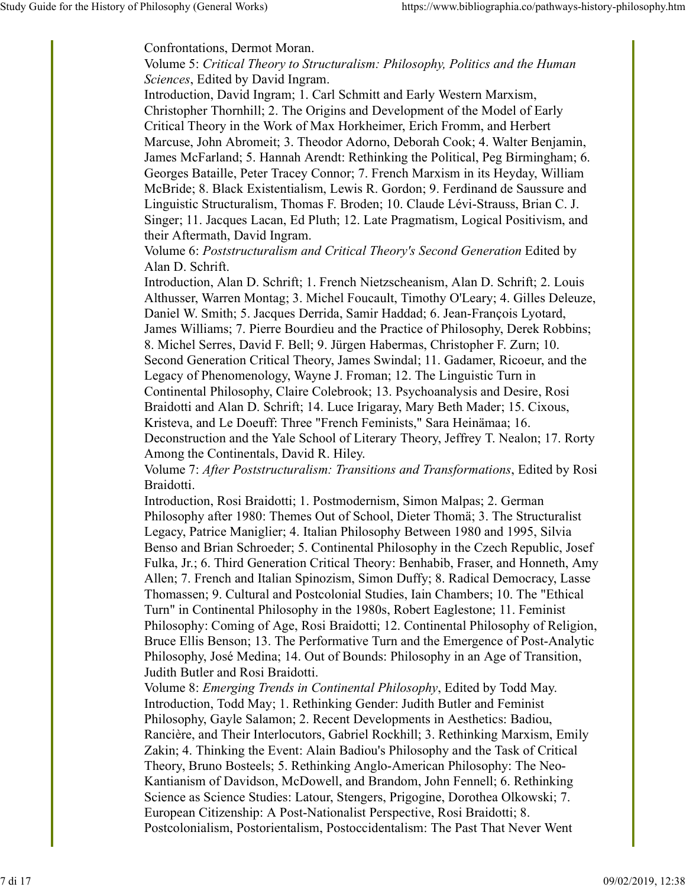Confrontations, Dermot Moran.

Volume 5: Critical Theory to Structuralism: Philosophy, Politics and the Human Sciences, Edited by David Ingram. Study Guide for the History of Philosophy (General Works) https://www.bibliographia.co/pathways-history-philosophy.htm<br>
Confrontations, Dermot Moran.<br>
Volume 5: *Critical Theory to Structuralism: Philosophy, Politics and t* 

> Introduction, David Ingram; 1. Carl Schmitt and Early Western Marxism, Christopher Thornhill; 2. The Origins and Development of the Model of Early Critical Theory in the Work of Max Horkheimer, Erich Fromm, and Herbert Marcuse, John Abromeit; 3. Theodor Adorno, Deborah Cook; 4. Walter Benjamin, James McFarland; 5. Hannah Arendt: Rethinking the Political, Peg Birmingham; 6. Georges Bataille, Peter Tracey Connor; 7. French Marxism in its Heyday, William McBride; 8. Black Existentialism, Lewis R. Gordon; 9. Ferdinand de Saussure and Linguistic Structuralism, Thomas F. Broden; 10. Claude Lévi-Strauss, Brian C. J. Singer; 11. Jacques Lacan, Ed Pluth; 12. Late Pragmatism, Logical Positivism, and their Aftermath, David Ingram.

Volume 6: Poststructuralism and Critical Theory's Second Generation Edited by Alan D. Schrift.

Introduction, Alan D. Schrift; 1. French Nietzscheanism, Alan D. Schrift; 2. Louis Althusser, Warren Montag; 3. Michel Foucault, Timothy O'Leary; 4. Gilles Deleuze, Daniel W. Smith; 5. Jacques Derrida, Samir Haddad; 6. Jean-François Lyotard, James Williams; 7. Pierre Bourdieu and the Practice of Philosophy, Derek Robbins; 8. Michel Serres, David F. Bell; 9. Jürgen Habermas, Christopher F. Zurn; 10. Second Generation Critical Theory, James Swindal; 11. Gadamer, Ricoeur, and the Legacy of Phenomenology, Wayne J. Froman; 12. The Linguistic Turn in Continental Philosophy, Claire Colebrook; 13. Psychoanalysis and Desire, Rosi Braidotti and Alan D. Schrift; 14. Luce Irigaray, Mary Beth Mader; 15. Cixous, Kristeva, and Le Doeuff: Three "French Feminists," Sara Heinämaa; 16. Deconstruction and the Yale School of Literary Theory, Jeffrey T. Nealon; 17. Rorty Among the Continentals, David R. Hiley.

Volume 7: After Poststructuralism: Transitions and Transformations, Edited by Rosi Braidotti.

Introduction, Rosi Braidotti; 1. Postmodernism, Simon Malpas; 2. German Philosophy after 1980: Themes Out of School, Dieter Thomä; 3. The Structuralist Legacy, Patrice Maniglier; 4. Italian Philosophy Between 1980 and 1995, Silvia Benso and Brian Schroeder; 5. Continental Philosophy in the Czech Republic, Josef Fulka, Jr.; 6. Third Generation Critical Theory: Benhabib, Fraser, and Honneth, Amy Allen; 7. French and Italian Spinozism, Simon Duffy; 8. Radical Democracy, Lasse Thomassen; 9. Cultural and Postcolonial Studies, Iain Chambers; 10. The "Ethical Turn" in Continental Philosophy in the 1980s, Robert Eaglestone; 11. Feminist Philosophy: Coming of Age, Rosi Braidotti; 12. Continental Philosophy of Religion, Bruce Ellis Benson; 13. The Performative Turn and the Emergence of Post-Analytic Philosophy, José Medina; 14. Out of Bounds: Philosophy in an Age of Transition, Judith Butler and Rosi Braidotti.

Volume 8: Emerging Trends in Continental Philosophy, Edited by Todd May. Introduction, Todd May; 1. Rethinking Gender: Judith Butler and Feminist Philosophy, Gayle Salamon; 2. Recent Developments in Aesthetics: Badiou, Rancière, and Their Interlocutors, Gabriel Rockhill; 3. Rethinking Marxism, Emily Zakin; 4. Thinking the Event: Alain Badiou's Philosophy and the Task of Critical Theory, Bruno Bosteels; 5. Rethinking Anglo-American Philosophy: The Neo-Kantianism of Davidson, McDowell, and Brandom, John Fennell; 6. Rethinking Science as Science Studies: Latour, Stengers, Prigogine, Dorothea Olkowski; 7. European Citizenship: A Post-Nationalist Perspective, Rosi Braidotti; 8. Postcolonialism, Postorientalism, Postoccidentalism: The Past That Never Went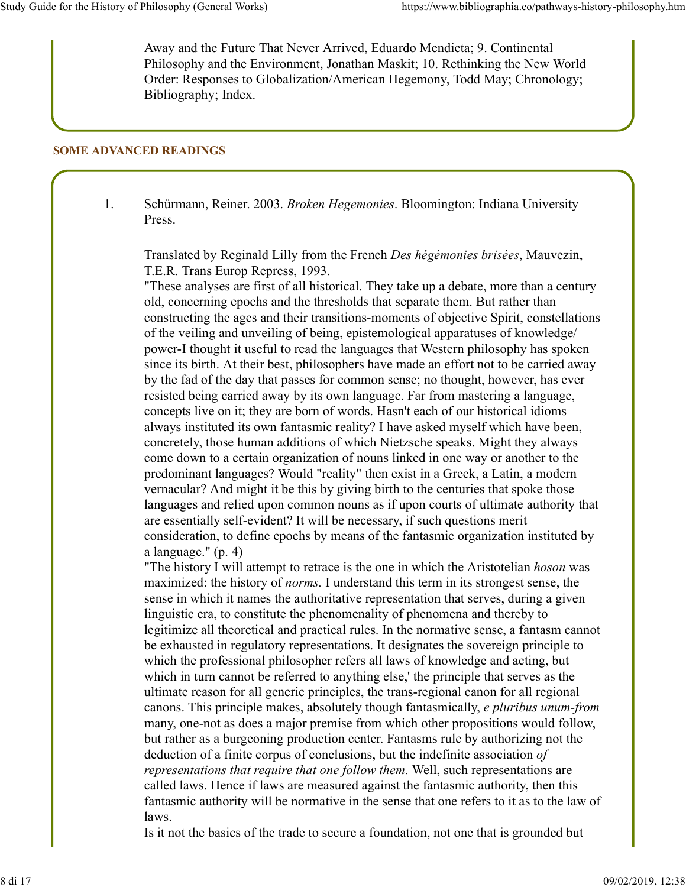Away and the Future That Never Arrived, Eduardo Mendieta; 9. Continental Philosophy and the Environment, Jonathan Maskit; 10. Rethinking the New World Order: Responses to Globalization/American Hegemony, Todd May; Chronology; Bibliography; Index. Study Guide for the History of Philosophy (General Works) https://www.bibliographia.co/pathways-history-philosophy.htm<br>Away and the Future That Never Arrived, Eduardo Mendieta; 9. Continental<br>Philosophy and the Environment

## SOME ADVANCED READINGS

1. Schürmann, Reiner. 2003. Broken Hegemonies. Bloomington: Indiana University Press.

Translated by Reginald Lilly from the French Des hégémonies brisées, Mauvezin, T.E.R. Trans Europ Repress, 1993.

"These analyses are first of all historical. They take up a debate, more than a century old, concerning epochs and the thresholds that separate them. But rather than constructing the ages and their transitions-moments of objective Spirit, constellations of the veiling and unveiling of being, epistemological apparatuses of knowledge/ power-I thought it useful to read the languages that Western philosophy has spoken since its birth. At their best, philosophers have made an effort not to be carried away by the fad of the day that passes for common sense; no thought, however, has ever resisted being carried away by its own language. Far from mastering a language, concepts live on it; they are born of words. Hasn't each of our historical idioms always instituted its own fantasmic reality? I have asked myself which have been, concretely, those human additions of which Nietzsche speaks. Might they always come down to a certain organization of nouns linked in one way or another to the predominant languages? Would "reality" then exist in a Greek, a Latin, a modern vernacular? And might it be this by giving birth to the centuries that spoke those languages and relied upon common nouns as if upon courts of ultimate authority that are essentially self-evident? It will be necessary, if such questions merit consideration, to define epochs by means of the fantasmic organization instituted by a language." (p. 4)

"The history I will attempt to retrace is the one in which the Aristotelian hoson was maximized: the history of *norms*. I understand this term in its strongest sense, the sense in which it names the authoritative representation that serves, during a given linguistic era, to constitute the phenomenality of phenomena and thereby to legitimize all theoretical and practical rules. In the normative sense, a fantasm cannot be exhausted in regulatory representations. It designates the sovereign principle to which the professional philosopher refers all laws of knowledge and acting, but which in turn cannot be referred to anything else,' the principle that serves as the ultimate reason for all generic principles, the trans-regional canon for all regional canons. This principle makes, absolutely though fantasmically, e pluribus unum-from many, one-not as does a major premise from which other propositions would follow, but rather as a burgeoning production center. Fantasms rule by authorizing not the deduction of a finite corpus of conclusions, but the indefinite association of representations that require that one follow them. Well, such representations are called laws. Hence if laws are measured against the fantasmic authority, then this fantasmic authority will be normative in the sense that one refers to it as to the law of laws.

Is it not the basics of the trade to secure a foundation, not one that is grounded but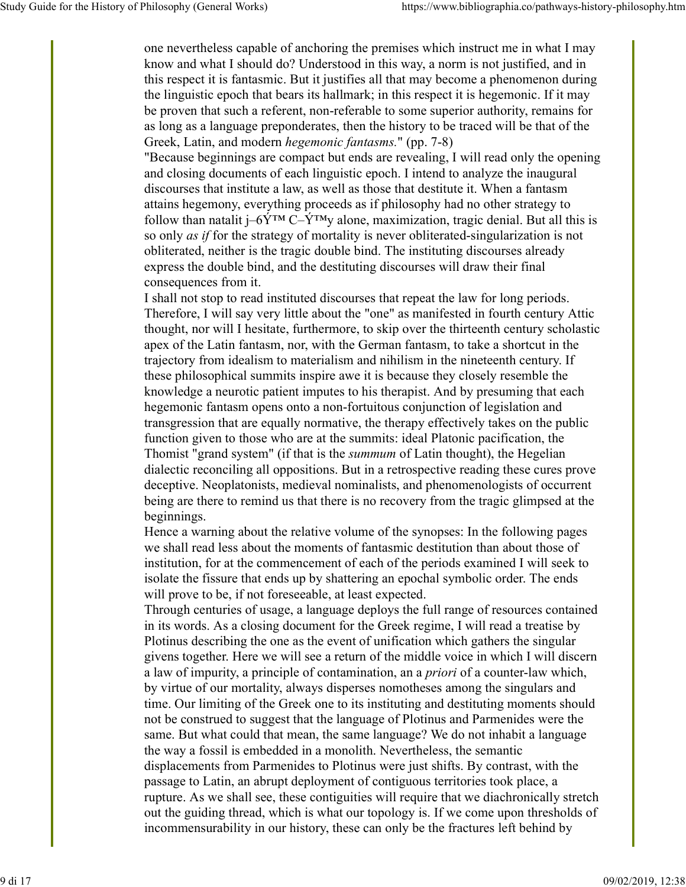one nevertheless capable of anchoring the premises which instruct me in what I may know and what I should do? Understood in this way, a norm is not justified, and in this respect it is fantasmic. But it justifies all that may become a phenomenon during the linguistic epoch that bears its hallmark; in this respect it is hegemonic. If it may be proven that such a referent, non-referable to some superior authority, remains for as long as a language preponderates, then the history to be traced will be that of the Greek, Latin, and modern hegemonic fantasms." (pp. 7-8) Study Guide for the History of Philosophy (General Works) https://www.bibliographia.co/pathways-history-philosophy.htm<br>
one nevertheless capable of anchoring the premises which instruct me in what I may<br>
know and what I sh

> "Because beginnings are compact but ends are revealing, I will read only the opening and closing documents of each linguistic epoch. I intend to analyze the inaugural discourses that institute a law, as well as those that destitute it. When a fantasm attains hegemony, everything proceeds as if philosophy had no other strategy to follow than natalit j–6Ý™ C–Ý™y alone, maximization, tragic denial. But all this is so only *as if* for the strategy of mortality is never obliterated-singularization is not obliterated, neither is the tragic double bind. The instituting discourses already express the double bind, and the destituting discourses will draw their final consequences from it.

> I shall not stop to read instituted discourses that repeat the law for long periods. Therefore, I will say very little about the "one" as manifested in fourth century Attic thought, nor will I hesitate, furthermore, to skip over the thirteenth century scholastic apex of the Latin fantasm, nor, with the German fantasm, to take a shortcut in the trajectory from idealism to materialism and nihilism in the nineteenth century. If these philosophical summits inspire awe it is because they closely resemble the knowledge a neurotic patient imputes to his therapist. And by presuming that each hegemonic fantasm opens onto a non-fortuitous conjunction of legislation and transgression that are equally normative, the therapy effectively takes on the public function given to those who are at the summits: ideal Platonic pacification, the Thomist "grand system" (if that is the *summum* of Latin thought), the Hegelian dialectic reconciling all oppositions. But in a retrospective reading these cures prove deceptive. Neoplatonists, medieval nominalists, and phenomenologists of occurrent being are there to remind us that there is no recovery from the tragic glimpsed at the beginnings.

Hence a warning about the relative volume of the synopses: In the following pages we shall read less about the moments of fantasmic destitution than about those of institution, for at the commencement of each of the periods examined I will seek to isolate the fissure that ends up by shattering an epochal symbolic order. The ends will prove to be, if not foreseeable, at least expected.

Through centuries of usage, a language deploys the full range of resources contained in its words. As a closing document for the Greek regime, I will read a treatise by Plotinus describing the one as the event of unification which gathers the singular givens together. Here we will see a return of the middle voice in which I will discern a law of impurity, a principle of contamination, an a priori of a counter-law which, by virtue of our mortality, always disperses nomotheses among the singulars and time. Our limiting of the Greek one to its instituting and destituting moments should not be construed to suggest that the language of Plotinus and Parmenides were the same. But what could that mean, the same language? We do not inhabit a language the way a fossil is embedded in a monolith. Nevertheless, the semantic displacements from Parmenides to Plotinus were just shifts. By contrast, with the passage to Latin, an abrupt deployment of contiguous territories took place, a rupture. As we shall see, these contiguities will require that we diachronically stretch out the guiding thread, which is what our topology is. If we come upon thresholds of incommensurability in our history, these can only be the fractures left behind by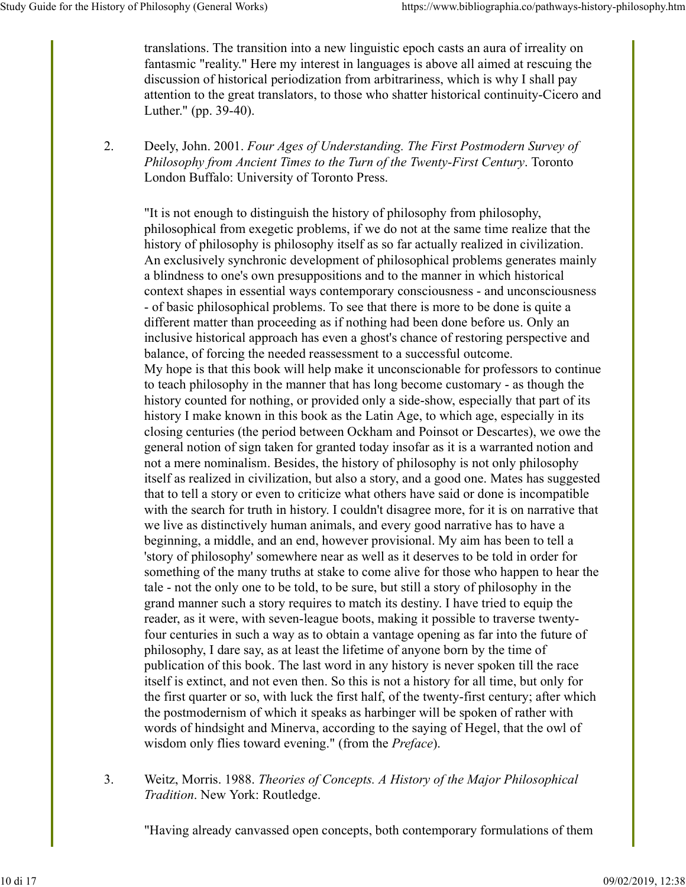translations. The transition into a new linguistic epoch casts an aura of irreality on fantasmic "reality." Here my interest in languages is above all aimed at rescuing the discussion of historical periodization from arbitrariness, which is why I shall pay attention to the great translators, to those who shatter historical continuity-Cicero and Luther." (pp. 39-40). Study Guide for the History of Philosophy (General Works) https://www.bibliographia.co/pathways-history-philosophy.htm<br>
translations. The transition into a new linguistic epoch casts an aura of irreality on<br>
fantasmic "rea

> 2. Deely, John. 2001. Four Ages of Understanding. The First Postmodern Survey of Philosophy from Ancient Times to the Turn of the Twenty-First Century. Toronto London Buffalo: University of Toronto Press.

"It is not enough to distinguish the history of philosophy from philosophy, philosophical from exegetic problems, if we do not at the same time realize that the history of philosophy is philosophy itself as so far actually realized in civilization. An exclusively synchronic development of philosophical problems generates mainly a blindness to one's own presuppositions and to the manner in which historical context shapes in essential ways contemporary consciousness - and unconsciousness - of basic philosophical problems. To see that there is more to be done is quite a different matter than proceeding as if nothing had been done before us. Only an inclusive historical approach has even a ghost's chance of restoring perspective and balance, of forcing the needed reassessment to a successful outcome. My hope is that this book will help make it unconscionable for professors to continue to teach philosophy in the manner that has long become customary - as though the history counted for nothing, or provided only a side-show, especially that part of its history I make known in this book as the Latin Age, to which age, especially in its closing centuries (the period between Ockham and Poinsot or Descartes), we owe the general notion of sign taken for granted today insofar as it is a warranted notion and not a mere nominalism. Besides, the history of philosophy is not only philosophy itself as realized in civilization, but also a story, and a good one. Mates has suggested that to tell a story or even to criticize what others have said or done is incompatible with the search for truth in history. I couldn't disagree more, for it is on narrative that we live as distinctively human animals, and every good narrative has to have a beginning, a middle, and an end, however provisional. My aim has been to tell a 'story of philosophy' somewhere near as well as it deserves to be told in order for something of the many truths at stake to come alive for those who happen to hear the tale - not the only one to be told, to be sure, but still a story of philosophy in the grand manner such a story requires to match its destiny. I have tried to equip the reader, as it were, with seven-league boots, making it possible to traverse twentyfour centuries in such a way as to obtain a vantage opening as far into the future of philosophy, I dare say, as at least the lifetime of anyone born by the time of publication of this book. The last word in any history is never spoken till the race itself is extinct, and not even then. So this is not a history for all time, but only for the first quarter or so, with luck the first half, of the twenty-first century; after which the postmodernism of which it speaks as harbinger will be spoken of rather with words of hindsight and Minerva, according to the saying of Hegel, that the owl of wisdom only flies toward evening." (from the *Preface*).

3. Weitz, Morris. 1988. Theories of Concepts. A History of the Major Philosophical Tradition. New York: Routledge.

"Having already canvassed open concepts, both contemporary formulations of them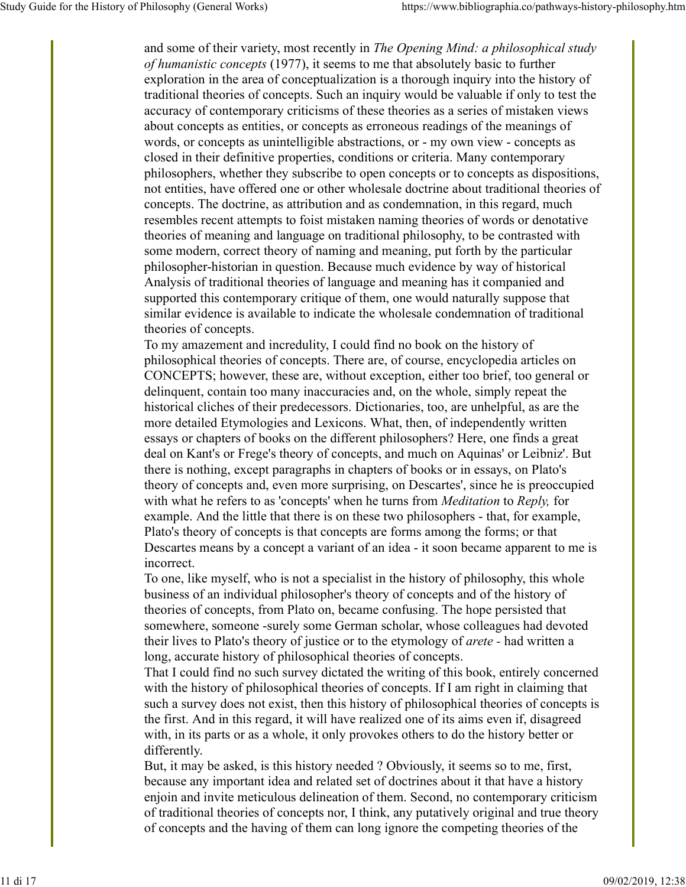and some of their variety, most recently in The Opening Mind: a philosophical study of humanistic concepts (1977), it seems to me that absolutely basic to further exploration in the area of conceptualization is a thorough inquiry into the history of traditional theories of concepts. Such an inquiry would be valuable if only to test the accuracy of contemporary criticisms of these theories as a series of mistaken views about concepts as entities, or concepts as erroneous readings of the meanings of words, or concepts as unintelligible abstractions, or - my own view - concepts as closed in their definitive properties, conditions or criteria. Many contemporary philosophers, whether they subscribe to open concepts or to concepts as dispositions, not entities, have offered one or other wholesale doctrine about traditional theories of concepts. The doctrine, as attribution and as condemnation, in this regard, much resembles recent attempts to foist mistaken naming theories of words or denotative theories of meaning and language on traditional philosophy, to be contrasted with some modern, correct theory of naming and meaning, put forth by the particular philosopher-historian in question. Because much evidence by way of historical Analysis of traditional theories of language and meaning has it companied and supported this contemporary critique of them, one would naturally suppose that similar evidence is available to indicate the wholesale condemnation of traditional theories of concepts. Study Guide for the History of Philosophy (General Works) https://www.bibliographia.co/pathways-history-philosophy.htm<br>and some of their variety, most recently in *The Opening Mind: a philosophical study*<br>of humanistic con

> To my amazement and incredulity, I could find no book on the history of philosophical theories of concepts. There are, of course, encyclopedia articles on CONCEPTS; however, these are, without exception, either too brief, too general or delinquent, contain too many inaccuracies and, on the whole, simply repeat the historical cliches of their predecessors. Dictionaries, too, are unhelpful, as are the more detailed Etymologies and Lexicons. What, then, of independently written essays or chapters of books on the different philosophers? Here, one finds a great deal on Kant's or Frege's theory of concepts, and much on Aquinas' or Leibniz'. But there is nothing, except paragraphs in chapters of books or in essays, on Plato's theory of concepts and, even more surprising, on Descartes', since he is preoccupied with what he refers to as 'concepts' when he turns from *Meditation* to *Reply*, for example. And the little that there is on these two philosophers - that, for example, Plato's theory of concepts is that concepts are forms among the forms; or that Descartes means by a concept a variant of an idea - it soon became apparent to me is incorrect.

To one, like myself, who is not a specialist in the history of philosophy, this whole business of an individual philosopher's theory of concepts and of the history of theories of concepts, from Plato on, became confusing. The hope persisted that somewhere, someone -surely some German scholar, whose colleagues had devoted their lives to Plato's theory of justice or to the etymology of arete - had written a long, accurate history of philosophical theories of concepts.

That I could find no such survey dictated the writing of this book, entirely concerned with the history of philosophical theories of concepts. If I am right in claiming that such a survey does not exist, then this history of philosophical theories of concepts is the first. And in this regard, it will have realized one of its aims even if, disagreed with, in its parts or as a whole, it only provokes others to do the history better or differently.

But, it may be asked, is this history needed ? Obviously, it seems so to me, first, because any important idea and related set of doctrines about it that have a history enjoin and invite meticulous delineation of them. Second, no contemporary criticism of traditional theories of concepts nor, I think, any putatively original and true theory of concepts and the having of them can long ignore the competing theories of the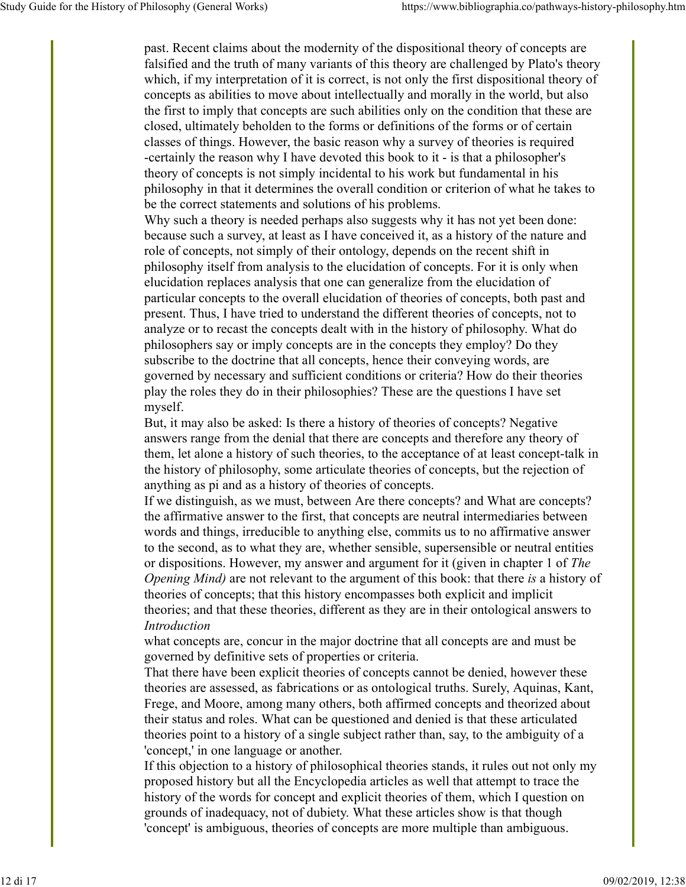past. Recent claims about the modernity of the dispositional theory of concepts are falsified and the truth of many variants of this theory are challenged by Plato's theory which, if my interpretation of it is correct, is not only the first dispositional theory of concepts as abilities to move about intellectually and morally in the world, but also the first to imply that concepts are such abilities only on the condition that these are closed, ultimately beholden to the forms or definitions of the forms or of certain classes of things. However, the basic reason why a survey of theories is required -certainly the reason why I have devoted this book to it - is that a philosopher's theory of concepts is not simply incidental to his work but fundamental in his philosophy in that it determines the overall condition or criterion of what he takes to be the correct statements and solutions of his problems. Study Guide for the History of Philosophy (General Works) https://www.bibliographia.co/pathways-history-philosophy.htm<br>past. Recent claims about the modernity of the dispositional theory of concepts are<br>falsified and the t

> Why such a theory is needed perhaps also suggests why it has not yet been done: because such a survey, at least as I have conceived it, as a history of the nature and role of concepts, not simply of their ontology, depends on the recent shift in philosophy itself from analysis to the elucidation of concepts. For it is only when elucidation replaces analysis that one can generalize from the elucidation of particular concepts to the overall elucidation of theories of concepts, both past and present. Thus, I have tried to understand the different theories of concepts, not to analyze or to recast the concepts dealt with in the history of philosophy. What do philosophers say or imply concepts are in the concepts they employ? Do they subscribe to the doctrine that all concepts, hence their conveying words, are governed by necessary and sufficient conditions or criteria? How do their theories play the roles they do in their philosophies? These are the questions I have set myself.

But, it may also be asked: Is there a history of theories of concepts? Negative answers range from the denial that there are concepts and therefore any theory of them, let alone a history of such theories, to the acceptance of at least concept-talk in the history of philosophy, some articulate theories of concepts, but the rejection of anything as pi and as a history of theories of concepts.

If we distinguish, as we must, between Are there concepts? and What are concepts? the affirmative answer to the first, that concepts are neutral intermediaries between words and things, irreducible to anything else, commits us to no affirmative answer to the second, as to what they are, whether sensible, supersensible or neutral entities or dispositions. However, my answer and argument for it (given in chapter 1 of The Opening Mind) are not relevant to the argument of this book: that there is a history of theories of concepts; that this history encompasses both explicit and implicit theories; and that these theories, different as they are in their ontological answers to Introduction

what concepts are, concur in the major doctrine that all concepts are and must be governed by definitive sets of properties or criteria.

That there have been explicit theories of concepts cannot be denied, however these theories are assessed, as fabrications or as ontological truths. Surely, Aquinas, Kant, Frege, and Moore, among many others, both affirmed concepts and theorized about their status and roles. What can be questioned and denied is that these articulated theories point to a history of a single subject rather than, say, to the ambiguity of a 'concept,' in one language or another.

If this objection to a history of philosophical theories stands, it rules out not only my proposed history but all the Encyclopedia articles as well that attempt to trace the history of the words for concept and explicit theories of them, which I question on grounds of inadequacy, not of dubiety. What these articles show is that though 'concept' is ambiguous, theories of concepts are more multiple than ambiguous.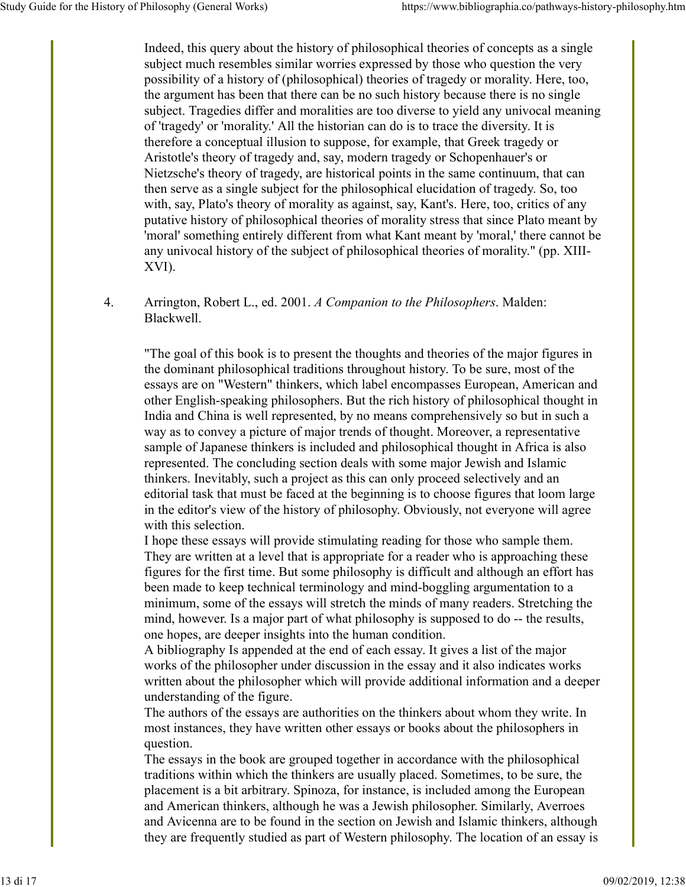Indeed, this query about the history of philosophical theories of concepts as a single subject much resembles similar worries expressed by those who question the very possibility of a history of (philosophical) theories of tragedy or morality. Here, too, the argument has been that there can be no such history because there is no single subject. Tragedies differ and moralities are too diverse to yield any univocal meaning of 'tragedy' or 'morality.' All the historian can do is to trace the diversity. It is therefore a conceptual illusion to suppose, for example, that Greek tragedy or Aristotle's theory of tragedy and, say, modern tragedy or Schopenhauer's or Nietzsche's theory of tragedy, are historical points in the same continuum, that can then serve as a single subject for the philosophical elucidation of tragedy. So, too with, say, Plato's theory of morality as against, say, Kant's. Here, too, critics of any putative history of philosophical theories of morality stress that since Plato meant by 'moral' something entirely different from what Kant meant by 'moral,' there cannot be any univocal history of the subject of philosophical theories of morality." (pp. XIII-XVI). Study Guide for the History of Philosophy (General Works) https://www.bibliographia.co/pathways-history-philosophy.htm<br>
Indeed, this query about the history of philosophical theories of concepts as a single<br>
subject much r

> 4. Arrington, Robert L., ed. 2001. A Companion to the Philosophers. Malden: Blackwell.

"The goal of this book is to present the thoughts and theories of the major figures in the dominant philosophical traditions throughout history. To be sure, most of the essays are on "Western" thinkers, which label encompasses European, American and other English-speaking philosophers. But the rich history of philosophical thought in India and China is well represented, by no means comprehensively so but in such a way as to convey a picture of major trends of thought. Moreover, a representative sample of Japanese thinkers is included and philosophical thought in Africa is also represented. The concluding section deals with some major Jewish and Islamic thinkers. Inevitably, such a project as this can only proceed selectively and an editorial task that must be faced at the beginning is to choose figures that loom large in the editor's view of the history of philosophy. Obviously, not everyone will agree with this selection.

I hope these essays will provide stimulating reading for those who sample them. They are written at a level that is appropriate for a reader who is approaching these figures for the first time. But some philosophy is difficult and although an effort has been made to keep technical terminology and mind-boggling argumentation to a minimum, some of the essays will stretch the minds of many readers. Stretching the mind, however. Is a major part of what philosophy is supposed to do -- the results, one hopes, are deeper insights into the human condition.

A bibliography Is appended at the end of each essay. It gives a list of the major works of the philosopher under discussion in the essay and it also indicates works written about the philosopher which will provide additional information and a deeper understanding of the figure.

The authors of the essays are authorities on the thinkers about whom they write. In most instances, they have written other essays or books about the philosophers in question.

The essays in the book are grouped together in accordance with the philosophical traditions within which the thinkers are usually placed. Sometimes, to be sure, the placement is a bit arbitrary. Spinoza, for instance, is included among the European and American thinkers, although he was a Jewish philosopher. Similarly, Averroes and Avicenna are to be found in the section on Jewish and Islamic thinkers, although they are frequently studied as part of Western philosophy. The location of an essay is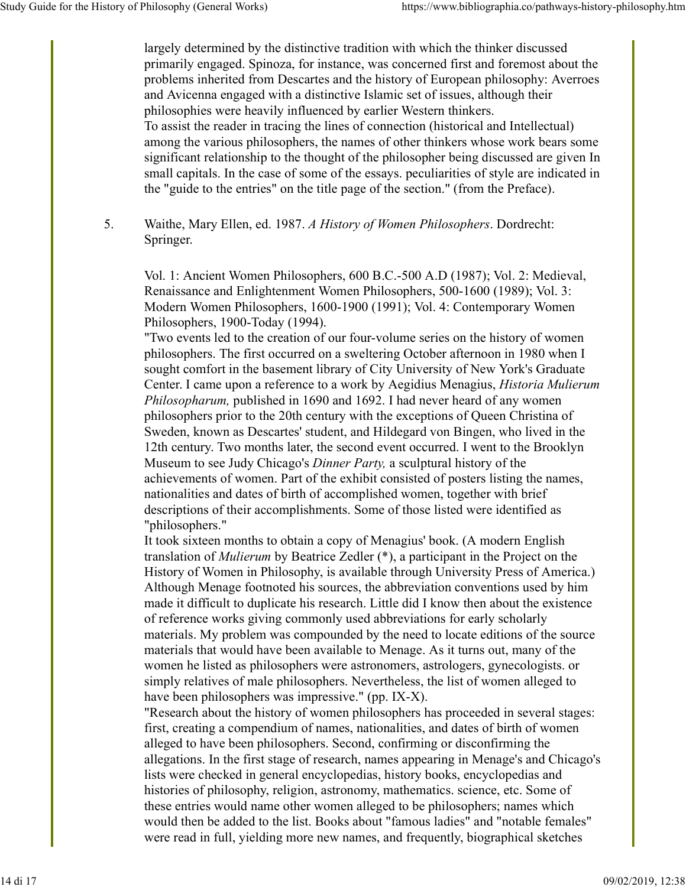largely determined by the distinctive tradition with which the thinker discussed primarily engaged. Spinoza, for instance, was concerned first and foremost about the problems inherited from Descartes and the history of European philosophy: Averroes and Avicenna engaged with a distinctive Islamic set of issues, although their philosophies were heavily influenced by earlier Western thinkers. To assist the reader in tracing the lines of connection (historical and Intellectual) among the various philosophers, the names of other thinkers whose work bears some significant relationship to the thought of the philosopher being discussed are given In small capitals. In the case of some of the essays. peculiarities of style are indicated in the "guide to the entries" on the title page of the section." (from the Preface). Study Guide for the History of Philosophy (General Works) https://www.bibliographia.co/pathways-history-philosophy.htm<br>
largely determined by the distinctive tradition with which the thinker discussed<br>
primarily engaged. S

> 5. Waithe, Mary Ellen, ed. 1987. A History of Women Philosophers. Dordrecht: Springer.

Vol. 1: Ancient Women Philosophers, 600 B.C.-500 A.D (1987); Vol. 2: Medieval, Renaissance and Enlightenment Women Philosophers, 500-1600 (1989); Vol. 3: Modern Women Philosophers, 1600-1900 (1991); Vol. 4: Contemporary Women Philosophers, 1900-Today (1994).

"Two events led to the creation of our four-volume series on the history of women philosophers. The first occurred on a sweltering October afternoon in 1980 when I sought comfort in the basement library of City University of New York's Graduate Center. I came upon a reference to a work by Aegidius Menagius, Historia Mulierum Philosopharum, published in 1690 and 1692. I had never heard of any women philosophers prior to the 20th century with the exceptions of Queen Christina of Sweden, known as Descartes' student, and Hildegard von Bingen, who lived in the 12th century. Two months later, the second event occurred. I went to the Brooklyn Museum to see Judy Chicago's Dinner Party, a sculptural history of the achievements of women. Part of the exhibit consisted of posters listing the names, nationalities and dates of birth of accomplished women, together with brief descriptions of their accomplishments. Some of those listed were identified as "philosophers."

It took sixteen months to obtain a copy of Menagius' book. (A modern English translation of Mulierum by Beatrice Zedler (\*), a participant in the Project on the History of Women in Philosophy, is available through University Press of America.) Although Menage footnoted his sources, the abbreviation conventions used by him made it difficult to duplicate his research. Little did I know then about the existence of reference works giving commonly used abbreviations for early scholarly materials. My problem was compounded by the need to locate editions of the source materials that would have been available to Menage. As it turns out, many of the women he listed as philosophers were astronomers, astrologers, gynecologists. or simply relatives of male philosophers. Nevertheless, the list of women alleged to have been philosophers was impressive." (pp. IX-X).

"Research about the history of women philosophers has proceeded in several stages: first, creating a compendium of names, nationalities, and dates of birth of women alleged to have been philosophers. Second, confirming or disconfirming the allegations. In the first stage of research, names appearing in Menage's and Chicago's lists were checked in general encyclopedias, history books, encyclopedias and histories of philosophy, religion, astronomy, mathematics. science, etc. Some of these entries would name other women alleged to be philosophers; names which would then be added to the list. Books about "famous ladies" and "notable females" were read in full, yielding more new names, and frequently, biographical sketches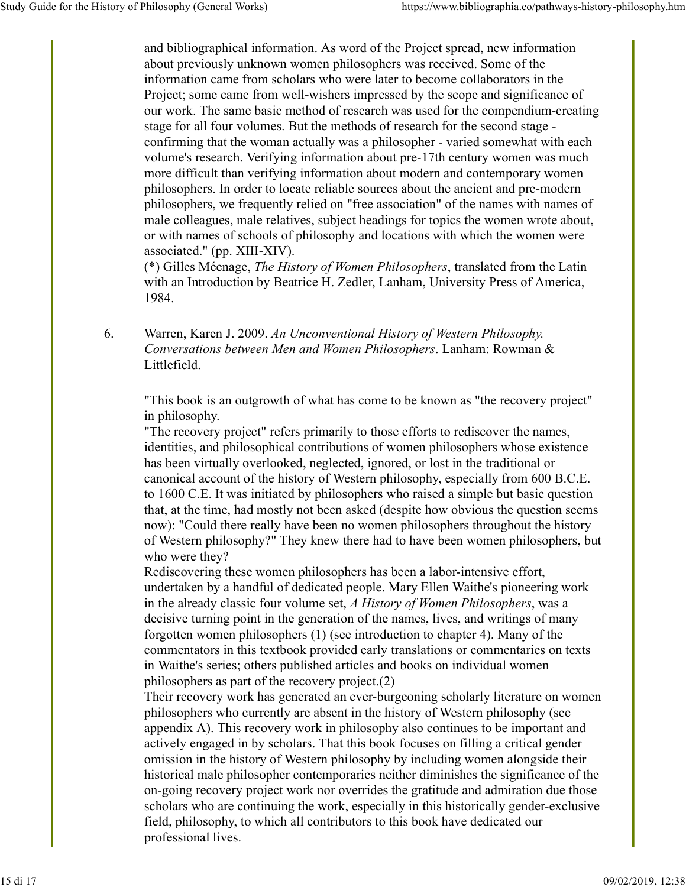and bibliographical information. As word of the Project spread, new information about previously unknown women philosophers was received. Some of the information came from scholars who were later to become collaborators in the Project; some came from well-wishers impressed by the scope and significance of our work. The same basic method of research was used for the compendium-creating stage for all four volumes. But the methods of research for the second stage confirming that the woman actually was a philosopher - varied somewhat with each volume's research. Verifying information about pre-17th century women was much more difficult than verifying information about modern and contemporary women philosophers. In order to locate reliable sources about the ancient and pre-modern philosophers, we frequently relied on "free association" of the names with names of male colleagues, male relatives, subject headings for topics the women wrote about, or with names of schools of philosophy and locations with which the women were associated." (pp. XIII-XIV). Study Guide for the History of Philosophy (General Works) https://www.bibliographia.co/pathways-history-philosophy.htm<br>and bibliographical information. As word of the Project spread, new information<br>about previously unknow

> (\*) Gilles Méenage, The History of Women Philosophers, translated from the Latin with an Introduction by Beatrice H. Zedler, Lanham, University Press of America, 1984.

Warren, Karen J. 2009. An Unconventional History of Western Philosophy. 6. Conversations between Men and Women Philosophers. Lanham: Rowman & Littlefield.

"This book is an outgrowth of what has come to be known as "the recovery project" in philosophy.

"The recovery project" refers primarily to those efforts to rediscover the names, identities, and philosophical contributions of women philosophers whose existence has been virtually overlooked, neglected, ignored, or lost in the traditional or canonical account of the history of Western philosophy, especially from 600 B.C.E. to 1600 C.E. It was initiated by philosophers who raised a simple but basic question that, at the time, had mostly not been asked (despite how obvious the question seems now): "Could there really have been no women philosophers throughout the history of Western philosophy?" They knew there had to have been women philosophers, but who were they?

Rediscovering these women philosophers has been a labor-intensive effort, undertaken by a handful of dedicated people. Mary Ellen Waithe's pioneering work in the already classic four volume set, A History of Women Philosophers, was a decisive turning point in the generation of the names, lives, and writings of many forgotten women philosophers (1) (see introduction to chapter 4). Many of the commentators in this textbook provided early translations or commentaries on texts in Waithe's series; others published articles and books on individual women philosophers as part of the recovery project.(2)

Their recovery work has generated an ever-burgeoning scholarly literature on women philosophers who currently are absent in the history of Western philosophy (see appendix A). This recovery work in philosophy also continues to be important and actively engaged in by scholars. That this book focuses on filling a critical gender omission in the history of Western philosophy by including women alongside their historical male philosopher contemporaries neither diminishes the significance of the on-going recovery project work nor overrides the gratitude and admiration due those scholars who are continuing the work, especially in this historically gender-exclusive field, philosophy, to which all contributors to this book have dedicated our professional lives.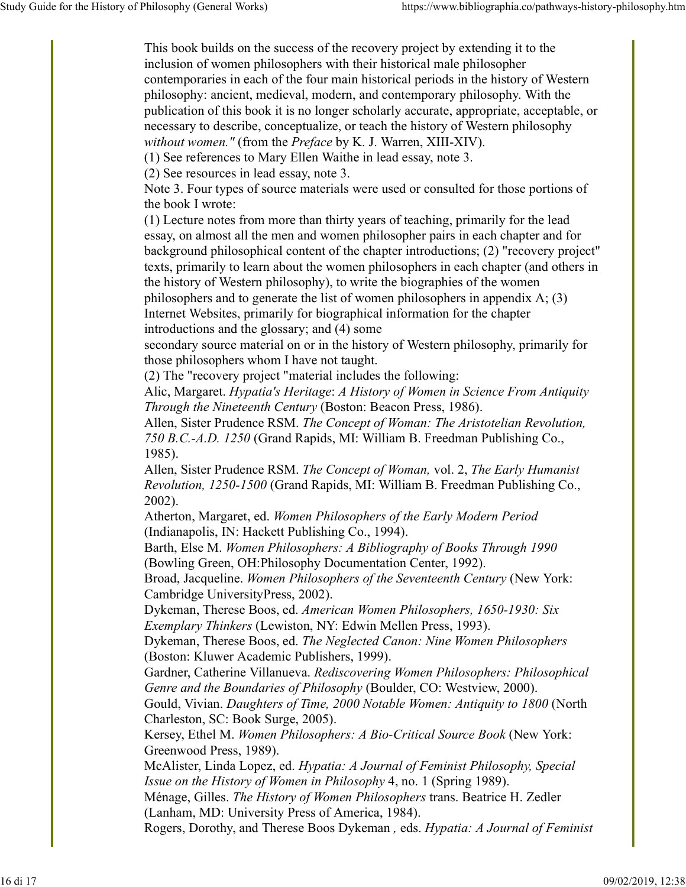This book builds on the success of the recovery project by extending it to the inclusion of women philosophers with their historical male philosopher contemporaries in each of the four main historical periods in the history of Western philosophy: ancient, medieval, modern, and contemporary philosophy. With the publication of this book it is no longer scholarly accurate, appropriate, acceptable, or necessary to describe, conceptualize, or teach the history of Western philosophy without women." (from the Preface by K. J. Warren, XIII-XIV). Study Guide for the History of Philosophy (General Works) https://www.bibliographia.co/pathways-history-philosophy.htm<br>
This book builds on the success of the recovery project by extending it to the<br>
inclusion of women phi

(1) See references to Mary Ellen Waithe in lead essay, note 3.

(2) See resources in lead essay, note 3.

Note 3. Four types of source materials were used or consulted for those portions of the book I wrote:

(1) Lecture notes from more than thirty years of teaching, primarily for the lead essay, on almost all the men and women philosopher pairs in each chapter and for background philosophical content of the chapter introductions; (2) "recovery project" texts, primarily to learn about the women philosophers in each chapter (and others in the history of Western philosophy), to write the biographies of the women philosophers and to generate the list of women philosophers in appendix A; (3) Internet Websites, primarily for biographical information for the chapter introductions and the glossary; and (4) some

secondary source material on or in the history of Western philosophy, primarily for those philosophers whom I have not taught.

(2) The "recovery project "material includes the following:

Alic, Margaret. Hypatia's Heritage: A History of Women in Science From Antiquity Through the Nineteenth Century (Boston: Beacon Press, 1986).

Allen, Sister Prudence RSM. The Concept of Woman: The Aristotelian Revolution, 750 B.C.-A.D. 1250 (Grand Rapids, MI: William B. Freedman Publishing Co., 1985).

Allen, Sister Prudence RSM. The Concept of Woman, vol. 2, The Early Humanist Revolution, 1250-1500 (Grand Rapids, MI: William B. Freedman Publishing Co., 2002).

Atherton, Margaret, ed. Women Philosophers of the Early Modern Period (Indianapolis, IN: Hackett Publishing Co., 1994).

Barth, Else M. Women Philosophers: A Bibliography of Books Through 1990 (Bowling Green, OH:Philosophy Documentation Center, 1992).

Broad, Jacqueline. Women Philosophers of the Seventeenth Century (New York: Cambridge UniversityPress, 2002).

Dykeman, Therese Boos, ed. American Women Philosophers, 1650-1930: Six Exemplary Thinkers (Lewiston, NY: Edwin Mellen Press, 1993).

Dykeman, Therese Boos, ed. The Neglected Canon: Nine Women Philosophers (Boston: Kluwer Academic Publishers, 1999).

Gardner, Catherine Villanueva. Rediscovering Women Philosophers: Philosophical Genre and the Boundaries of Philosophy (Boulder, CO: Westview, 2000).

Gould, Vivian. Daughters of Time, 2000 Notable Women: Antiquity to 1800 (North Charleston, SC: Book Surge, 2005).

Kersey, Ethel M. Women Philosophers: A Bio-Critical Source Book (New York: Greenwood Press, 1989).

McAlister, Linda Lopez, ed. Hypatia: A Journal of Feminist Philosophy, Special Issue on the History of Women in Philosophy 4, no. 1 (Spring 1989).

Ménage, Gilles. The History of Women Philosophers trans. Beatrice H. Zedler (Lanham, MD: University Press of America, 1984).

Rogers, Dorothy, and Therese Boos Dykeman , eds. Hypatia: A Journal of Feminist